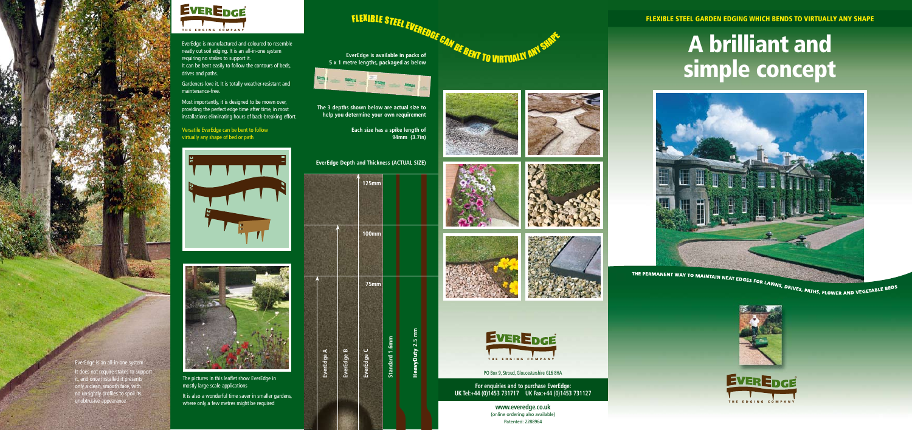**75mm**

**100mm**

**125mm**

**EverEdge A**

**EverEdge B**

**EverEdge C**

**5 x 1 metre lengths, packaged as below**



**The 3 depths shown below are actual size to help you determine your own requirement** 

> **Each size has a spike length of 94mm (3.7in)**











**EverEdge Depth and Thickness (ACTUAL SIZE)**



PO Box 9, Stroud, Gloucestershire GL6 8HA

**www.everedge.co.uk** (online ordering also available) Patented: 2288964

The pictures in this leaflet show EverEdge in mostly large scale applications It is also a wonderful time saver in smaller gardens,

where only a few metres might be required

# FLEXIBLE STEEL EVEREDGE<br>EverEdge is available in packs of<br>patre langths packaged as below.









**For enquiries and to purchase EverEdge: UK Tel:+44 (0)1453 731717 UK Fax:+44 (0)1453 731127**

**Standard 1.6mm** 

Standard 1.6m

HeavyDuty **2.5 mm** 

**HeavyDuty 2.5 mm** 

FLEXIBLE STEEL GARDEN EDGING WHICH BENDS TO VIRTUALLY ANY SHAPE

# A brilliant and simple concept





THE EDGING COMPANY